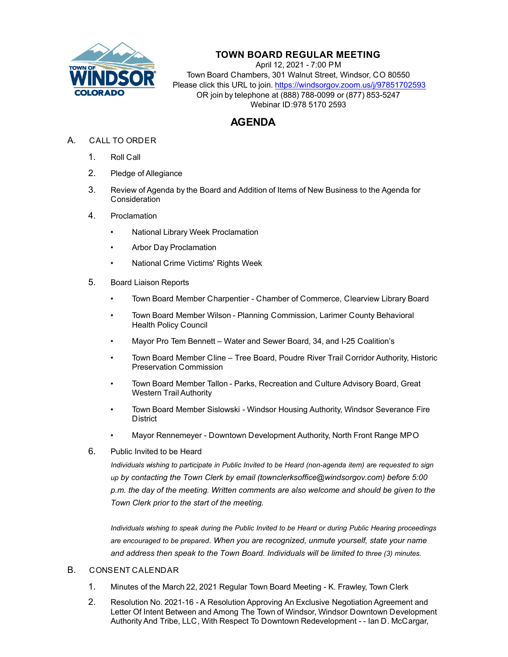

## **TOWN BOARD REGULAR MEETING**

April 12, 2021 - 7:00 PM Town Board Chambers, 301 Walnut Street, Windsor, CO 80550 Please click this URL to join. https://windsorgov.zoom.us/j/97851702593 OR join by telephone at (888) 788-0099 or (877) 853-5247 Webinar ID:978 5170 2593

# **AGENDA**

- A. CALL TO ORDER
	- 1. Roll Call
	- 2. Pledge of Allegiance
	- 3. Review of Agenda by the Board and Addition of Items of New Business to the Agenda for **Consideration**
	- 4. Proclamation
		- • [National Library Week Proclamation](file:///C:/Windows/TEMP/CoverSheet.aspx?ItemID=1358&MeetingID=253)
		- • [Arbor Day Proclamation](file:///C:/Windows/TEMP/CoverSheet.aspx?ItemID=1285&MeetingID=253)
		- • [National Crime Victims' Rights Week](file:///C:/Windows/TEMP/CoverSheet.aspx?ItemID=1375&MeetingID=253)
	- 5. Board Liaison Reports
		- Town Board Member Charpentier Chamber of Commerce, Clearview Library Board
		- Town Board Member Wilson Planning Commission, Larimer County Behavioral Health Policy Council
		- Mayor Pro Tem Bennett Water and Sewer Board, 34, and I-25 Coalition's
		- Town Board Member Cline Tree Board, Poudre River Trail Corridor Authority, Historic Preservation Commission
		- Town Board Member Tallon Parks, Recreation and Culture Advisory Board, Great Western Trail Authority
		- Town Board Member Sislowski Windsor Housing Authority, Windsor Severance Fire **District**
		- Mayor Rennemeyer Downtown Development Authority, North Front Range MPO
	- 6. Public Invited to be Heard

*Individuals wishing to participate in Public Invited to be Heard (non-agenda item) are requested to sign up by contacting the Town Clerk by email (townclerksoffice@windsorgov.com) before 5:00 p.m. the day of the meeting. Written comments are also welcome and should be given to the Town Clerk prior to the start of the meeting.*

*Individuals wishing to speak during the Public Invited to be Heard or during Public Hearing proceedings are encouraged to be prepared. When you are recognized, unmute yourself, state your name*  and address then speak to the Town Board. Individuals will be limited to three (3) minutes.

### B. CONSENT CALENDAR

- 1. [Minutes of the March 22, 2021 Regular Town Board Meeting K. Frawley, Town Clerk](file:///C:/Windows/TEMP/CoverSheet.aspx?ItemID=1348&MeetingID=253)
- 2. [Resolution No. 2021-16 A Resolution Approving An Exclusive Negotiation Agreement and](file:///C:/Windows/TEMP/CoverSheet.aspx?ItemID=1366&MeetingID=253)  Letter Of Intent Between and Among The Town of Windsor, Windsor Downtown Development Authority And Tribe, LLC, With Respect To Downtown Redevelopment - - Ian D. McCargar,